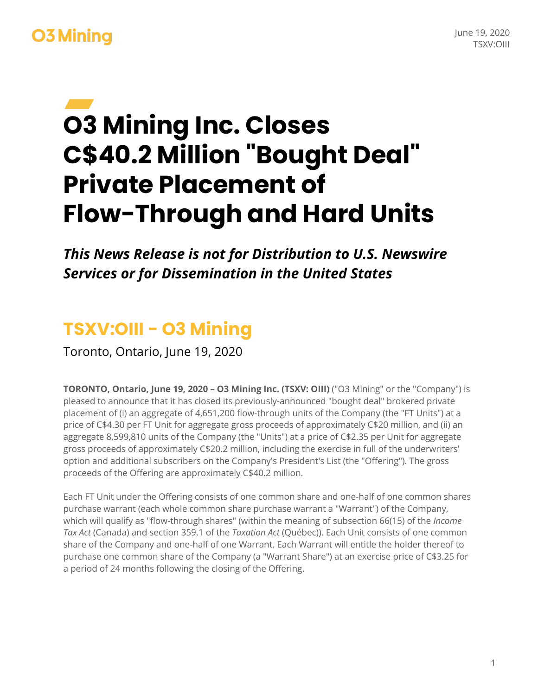#### June 19, 2020 TSXV:OIII

## **O3 Mining**

# **O3 Mining Inc. Closes C\$40.2 Million "Bought Deal" Private Placement of Flow-Through and Hard Units**

*This News Release is not for Distribution to U.S. Newswire Services or for Dissemination in the United States*

#### **TSXV:OIII - O3 Mining**

Toronto, Ontario, June 19, 2020

**TORONTO, Ontario, June 19, 2020 – O3 Mining Inc. (TSXV: OIII)** ("O3 Mining" or the "Company") is pleased to announce that it has closed its previously-announced "bought deal" brokered private placement of (i) an aggregate of 4,651,200 flow-through units of the Company (the "FT Units") at a price of C\$4.30 per FT Unit for aggregate gross proceeds of approximately C\$20 million, and (ii) an aggregate 8,599,810 units of the Company (the "Units") at a price of C\$2.35 per Unit for aggregate gross proceeds of approximately C\$20.2 million, including the exercise in full of the underwriters' option and additional subscribers on the Company's President's List (the "Offering"). The gross proceeds of the Offering are approximately C\$40.2 million.

Each FT Unit under the Offering consists of one common share and one-half of one common shares purchase warrant (each whole common share purchase warrant a "Warrant") of the Company, which will qualify as "flow-through shares" (within the meaning of subsection 66(15) of the *Income Tax Act* (Canada) and section 359.1 of the *Taxation Act* (Québec)). Each Unit consists of one common share of the Company and one-half of one Warrant. Each Warrant will entitle the holder thereof to purchase one common share of the Company (a "Warrant Share") at an exercise price of C\$3.25 for a period of 24 months following the closing of the Offering.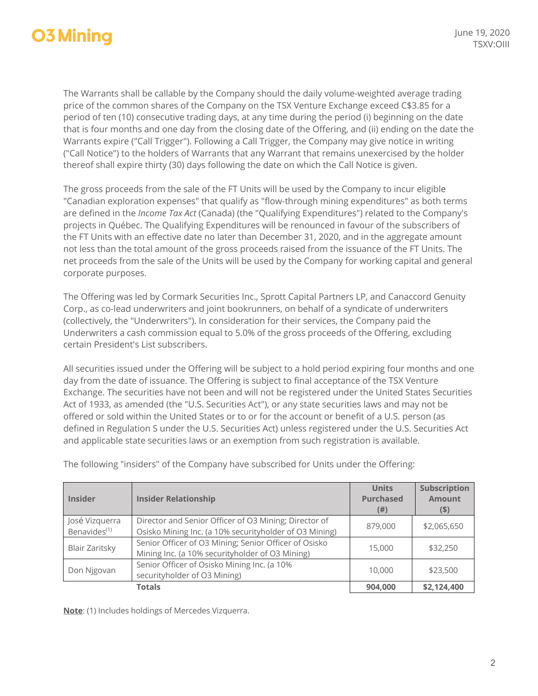### **O3 Mining**

The Warrants shall be callable by the Company should the daily volume-weighted average trading price of the common shares of the Company on the TSX Venture Exchange exceed C\$3.85 for a period of ten (10) consecutive trading days, at any time during the period (i) beginning on the date that is four months and one day from the closing date of the Offering, and (ii) ending on the date the Warrants expire ("Call Trigger"). Following a Call Trigger, the Company may give notice in writing ("Call Notice") to the holders of Warrants that any Warrant that remains unexercised by the holder thereof shall expire thirty (30) days following the date on which the Call Notice is given.

The gross proceeds from the sale of the FT Units will be used by the Company to incur eligible "Canadian exploration expenses" that qualify as "flow-through mining expenditures" as both terms are defined in the *Income Tax Act* (Canada) (the "Qualifying Expenditures") related to the Company's projects in Québec. The Qualifying Expenditures will be renounced in favour of the subscribers of the FT Units with an effective date no later than December 31, 2020, and in the aggregate amount not less than the total amount of the gross proceeds raised from the issuance of the FT Units. The net proceeds from the sale of the Units will be used by the Company for working capital and general corporate purposes.

The Offering was led by Cormark Securities Inc., Sprott Capital Partners LP, and Canaccord Genuity Corp., as co-lead underwriters and joint bookrunners, on behalf of a syndicate of underwriters (collectively, the "Underwriters"). In consideration for their services, the Company paid the Underwriters a cash commission equal to 5.0% of the gross proceeds of the Offering, excluding certain President's List subscribers.

All securities issued under the Offering will be subject to a hold period expiring four months and one day from the date of issuance. The Offering is subject to final acceptance of the TSX Venture Exchange. The securities have not been and will not be registered under the United States Securities Act of 1933, as amended (the "U.S. Securities Act"), or any state securities laws and may not be offered or sold within the United States or to or for the account or benefit of a U.S. person (as defined in Regulation S under the U.S. Securities Act) unless registered under the U.S. Securities Act and applicable state securities laws or an exemption from such registration is available.

| <b>Insider</b>           | <b>Insider Relationship</b>                            | <b>Units</b><br><b>Purchased</b><br>(#) | Subscription<br><b>Amount</b><br>$($ \$) |
|--------------------------|--------------------------------------------------------|-----------------------------------------|------------------------------------------|
| José Vizquerra           | Director and Senior Officer of O3 Mining; Director of  | 879,000                                 | \$2,065,650                              |
| Benavides <sup>(1)</sup> | Osisko Mining Inc. (a 10% securityholder of O3 Mining) |                                         |                                          |
| <b>Blair Zaritsky</b>    | Senior Officer of O3 Mining; Senior Officer of Osisko  | 15,000                                  | \$32,250                                 |
|                          | Mining Inc. (a 10% securityholder of O3 Mining)        |                                         |                                          |
| Don Njgovan              | Senior Officer of Osisko Mining Inc. (a 10%            | 10,000                                  | \$23,500                                 |
|                          | securityholder of O3 Mining)                           |                                         |                                          |
|                          | <b>Totals</b>                                          | 904.000                                 | \$2,124,400                              |

The following "insiders" of the Company have subscribed for Units under the Offering:

**Note**: (1) Includes holdings of Mercedes Vizquerra.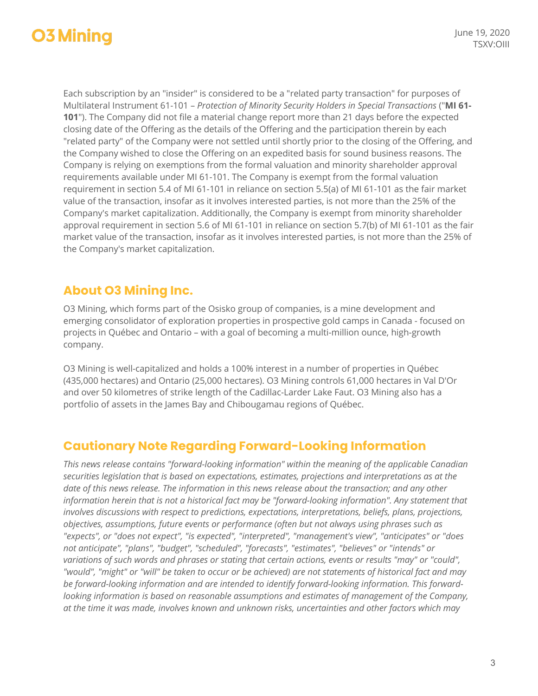### **O3 Mining**

Each subscription by an "insider" is considered to be a "related party transaction" for purposes of Multilateral Instrument 61-101 – *Protection of Minority Security Holders in Special Transactions* ("**MI 61- 101**"). The Company did not file a material change report more than 21 days before the expected closing date of the Offering as the details of the Offering and the participation therein by each "related party" of the Company were not settled until shortly prior to the closing of the Offering, and the Company wished to close the Offering on an expedited basis for sound business reasons. The Company is relying on exemptions from the formal valuation and minority shareholder approval requirements available under MI 61-101. The Company is exempt from the formal valuation requirement in section 5.4 of MI 61-101 in reliance on section 5.5(a) of MI 61-101 as the fair market value of the transaction, insofar as it involves interested parties, is not more than the 25% of the Company's market capitalization. Additionally, the Company is exempt from minority shareholder approval requirement in section 5.6 of MI 61-101 in reliance on section 5.7(b) of MI 61-101 as the fair market value of the transaction, insofar as it involves interested parties, is not more than the 25% of the Company's market capitalization.

#### **About O3 Mining Inc.**

O3 Mining, which forms part of the Osisko group of companies, is a mine development and emerging consolidator of exploration properties in prospective gold camps in Canada - focused on projects in Québec and Ontario – with a goal of becoming a multi-million ounce, high-growth company.

O3 Mining is well-capitalized and holds a 100% interest in a number of properties in Québec (435,000 hectares) and Ontario (25,000 hectares). O3 Mining controls 61,000 hectares in Val D'Or and over 50 kilometres of strike length of the Cadillac-Larder Lake Faut. O3 Mining also has a portfolio of assets in the James Bay and Chibougamau regions of Québec.

#### **Cautionary Note Regarding Forward-Looking Information**

*This news release contains "forward-looking information" within the meaning of the applicable Canadian securities legislation that is based on expectations, estimates, projections and interpretations as at the date of this news release. The information in this news release about the transaction; and any other information herein that is not a historical fact may be "forward-looking information". Any statement that involves discussions with respect to predictions, expectations, interpretations, beliefs, plans, projections, objectives, assumptions, future events or performance (often but not always using phrases such as "expects", or "does not expect", "is expected", "interpreted", "management's view", "anticipates" or "does not anticipate", "plans", "budget", "scheduled", "forecasts", "estimates", "believes" or "intends" or variations of such words and phrases or stating that certain actions, events or results "may" or "could", "would", "might" or "will" be taken to occur or be achieved) are not statements of historical fact and may be forward-looking information and are intended to identify forward-looking information. This forwardlooking information is based on reasonable assumptions and estimates of management of the Company, at the time it was made, involves known and unknown risks, uncertainties and other factors which may*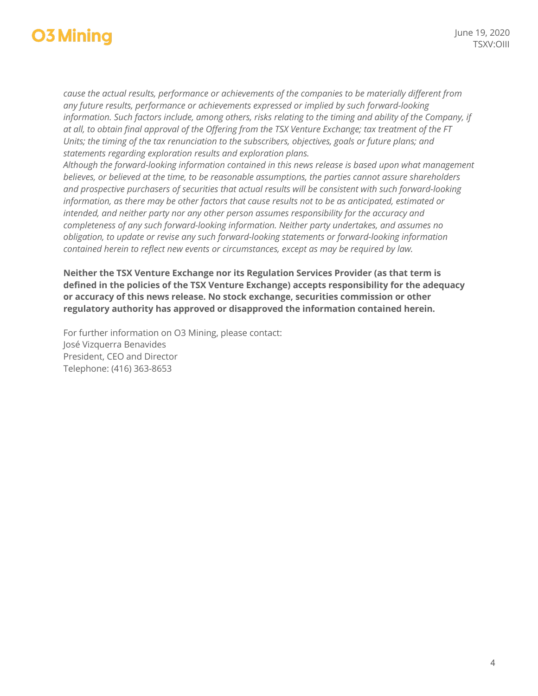## **O3 Mining**

*cause the actual results, performance or achievements of the companies to be materially different from any future results, performance or achievements expressed or implied by such forward-looking information. Such factors include, among others, risks relating to the timing and ability of the Company, if at all, to obtain final approval of the Offering from the TSX Venture Exchange; tax treatment of the FT Units; the timing of the tax renunciation to the subscribers, objectives, goals or future plans; and statements regarding exploration results and exploration plans.*

*Although the forward-looking information contained in this news release is based upon what management believes, or believed at the time, to be reasonable assumptions, the parties cannot assure shareholders and prospective purchasers of securities that actual results will be consistent with such forward-looking information, as there may be other factors that cause results not to be as anticipated, estimated or intended, and neither party nor any other person assumes responsibility for the accuracy and completeness of any such forward-looking information. Neither party undertakes, and assumes no obligation, to update or revise any such forward-looking statements or forward-looking information contained herein to reflect new events or circumstances, except as may be required by law.*

**Neither the TSX Venture Exchange nor its Regulation Services Provider (as that term is defined in the policies of the TSX Venture Exchange) accepts responsibility for the adequacy or accuracy of this news release. No stock exchange, securities commission or other regulatory authority has approved or disapproved the information contained herein.**

For further information on O3 Mining, please contact: José Vizquerra Benavides President, CEO and Director Telephone: (416) 363-8653